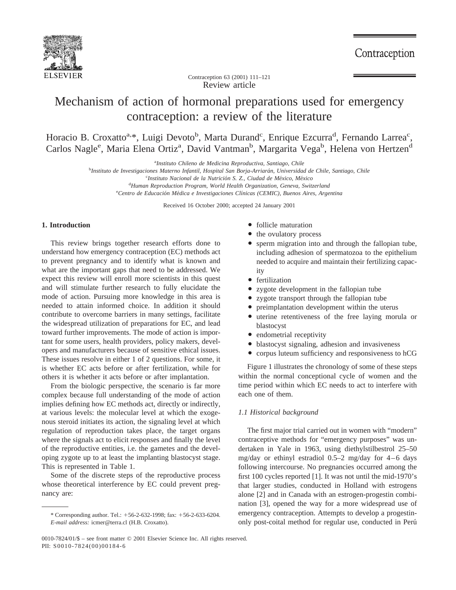

Contraception

Review article Contraception 63 (2001) 111–121

# Mechanism of action of hormonal preparations used for emergency contraception: a review of the literature

Horacio B. Croxatto<sup>a,\*</sup>, Luigi Devoto<sup>b</sup>, Marta Durand<sup>c</sup>, Enrique Ezcurra<sup>d</sup>, Fernando Larrea<sup>c</sup>, Carlos Nagle<sup>e</sup>, Maria Elena Ortiz<sup>a</sup>, David Vantman<sup>b</sup>, Margarita Vega<sup>b</sup>, Helena von Hertzen<sup>d</sup>

a *Instituto Chileno de Medicina Reproductiva, Santiago, Chile*

b *Instituto de Investigaciones Materno Infantil, Hospital San Borja-Arriara´n, Universidad de Chile, Santiago, Chile*

<sup>c</sup>Instituto Nacional de la Nutrición S. Z., Ciudad de México, México

d *Human Reproduction Program, World Health Organization, Geneva, Switzerland*

<sup>e</sup> Centro de Educación Médica e Investigaciones Clínicas (CEMIC), Buenos Aires, Argentina

Received 16 October 2000; accepted 24 January 2001

# **1. Introduction**

This review brings together research efforts done to understand how emergency contraception (EC) methods act to prevent pregnancy and to identify what is known and what are the important gaps that need to be addressed. We expect this review will enroll more scientists in this quest and will stimulate further research to fully elucidate the mode of action. Pursuing more knowledge in this area is needed to attain informed choice. In addition it should contribute to overcome barriers in many settings, facilitate the widespread utilization of preparations for EC, and lead toward further improvements. The mode of action is important for some users, health providers, policy makers, developers and manufacturers because of sensitive ethical issues. These issues resolve in either 1 of 2 questions. For some, it is whether EC acts before or after fertilization, while for others it is whether it acts before or after implantation.

From the biologic perspective, the scenario is far more complex because full understanding of the mode of action implies defining how EC methods act, directly or indirectly, at various levels: the molecular level at which the exogenous steroid initiates its action, the signaling level at which regulation of reproduction takes place, the target organs where the signals act to elicit responses and finally the level of the reproductive entities, i.e. the gametes and the developing zygote up to at least the implanting blastocyst stage. This is represented in Table 1.

Some of the discrete steps of the reproductive process whose theoretical interference by EC could prevent pregnancy are:

- follicle maturation
- the ovulatory process
- sperm migration into and through the fallopian tube, including adhesion of spermatozoa to the epithelium needed to acquire and maintain their fertilizing capacity
- fertilization
- zygote development in the fallopian tube
- zygote transport through the fallopian tube
- preimplantation development within the uterus
- uterine retentiveness of the free laying morula or blastocyst
- endometrial receptivity
- $\bullet$  blastocyst signaling, adhesion and invasiveness
- corpus luteum sufficiency and responsiveness to hCG

Figure 1 illustrates the chronology of some of these steps within the normal conceptional cycle of women and the time period within which EC needs to act to interfere with each one of them.

## *1.1 Historical background*

The first major trial carried out in women with "modern" contraceptive methods for "emergency purposes" was undertaken in Yale in 1963, using diethylstilbestrol 25–50 mg/day or ethinyl estradiol 0.5–2 mg/day for 4–6 days following intercourse. No pregnancies occurred among the first 100 cycles reported [1]. It was not until the mid-1970's that larger studies, conducted in Holland with estrogens alone [2] and in Canada with an estrogen-progestin combination [3], opened the way for a more widespread use of emergency contraception. Attempts to develop a progestin-\* Corresponding author. Tel.: +56-2-632-1998; fax: +56-2-633-6204. emergency contraception. Attempts to develop a progestin-<br>E-mail address: icmer@terra.cl (H.B. Croxatto). only post-coital method for regular use, conducte

*E-mail address:* icmer@terra.cl (H.B. Croxatto).

<sup>0010-7824/01/\$ –</sup> see front matter © 2001 Elsevier Science Inc. All rights reserved. PII: S0010-7824(00)00184-6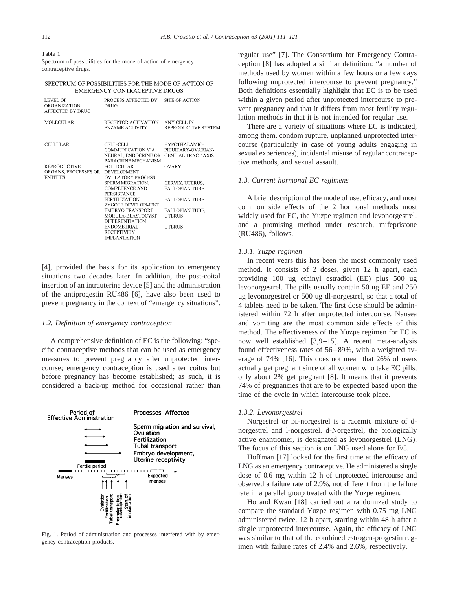Table 1 Spectrum of possibilities for the mode of action of emergency contraceptive drugs.

| SPECTRUM OF POSSIBILITIES FOR THE MODE OF ACTION OF<br>EMERGENCY CONTRACEPTIVE DRUGS |                                                                                                                                                                                                                                                                                                                            |                                                                                                                                        |
|--------------------------------------------------------------------------------------|----------------------------------------------------------------------------------------------------------------------------------------------------------------------------------------------------------------------------------------------------------------------------------------------------------------------------|----------------------------------------------------------------------------------------------------------------------------------------|
| <b>LEVEL OF</b><br>ORGANIZATION<br>AFFECTED BY DRUG                                  | PROCESS AFFECTED BY SITE OF ACTION<br>DRUG                                                                                                                                                                                                                                                                                 |                                                                                                                                        |
| <b>MOLECULAR</b>                                                                     | RECEPTOR ACTIVATION ANY CELL IN<br>ENZYME ACTIVITY                                                                                                                                                                                                                                                                         | REPRODUCTIVE SYSTEM                                                                                                                    |
| <b>CELLULAR</b>                                                                      | CELL-CELL<br>COMMUNICATION VIA<br>NEURAL, ENDOCRINE OR GENITAL TRACT AXIS<br>PARACRINE MECHANISM                                                                                                                                                                                                                           | HYPOTHALAMIC-<br>PITUITARY-OVARIAN-                                                                                                    |
| <b>REPRODUCTIVE</b><br>ORGANS, PROCESSES OR<br><b>ENTITIES</b>                       | <b>FOLLICULAR</b><br><b>DEVELOPMENT</b><br><b>OVULATORY PROCESS</b><br>SPERM MIGRATION.<br>COMPETENCE AND<br><b>PERSISTANCE</b><br><b>FERTILIZATION</b><br>ZYGOTE DEVELOPMENT<br><b>EMBRYO TRANSPORT</b><br>MORULA-BLASTOCYST<br><b>DIFFERENTIATION</b><br><b>ENDOMETRIAL</b><br><b>RECEPTIVITY</b><br><b>IMPLANTATION</b> | <b>OVARY</b><br>CERVIX, UTERUS.<br><b>FALLOPIAN TUBE</b><br><b>FALLOPIAN TUBE</b><br>FALLOPIAN TUBE,<br><b>UTERUS</b><br><b>UTERUS</b> |

[4], provided the basis for its application to emergency situations two decades later. In addition, the post-coital insertion of an intrauterine device [5] and the administration of the antiprogestin RU486 [6], have also been used to prevent pregnancy in the context of "emergency situations".

## *1.2. Definition of emergency contraception*

A comprehensive definition of EC is the following: "specific contraceptive methods that can be used as emergency measures to prevent pregnancy after unprotected intercourse; emergency contraception is used after coitus but before pregnancy has become established; as such, it is considered a back-up method for occasional rather than



Fig. 1. Period of administration and processes interfered with by emergency contraception products.

regular use" [7]. The Consortium for Emergency Contraception [8] has adopted a similar definition: "a number of methods used by women within a few hours or a few days following unprotected intercourse to prevent pregnancy." Both definitions essentially highlight that EC is to be used within a given period after unprotected intercourse to prevent pregnancy and that it differs from most fertility regulation methods in that it is not intended for regular use.

There are a variety of situations where EC is indicated, among them, condom rupture, unplanned unprotected intercourse (particularly in case of young adults engaging in sexual experiences), incidental misuse of regular contraceptive methods, and sexual assault.

#### *1.3. Current hormonal EC regimens*

A brief description of the mode of use, efficacy, and most common side effects of the 2 hormonal methods most widely used for EC, the Yuzpe regimen and levonorgestrel, and a promising method under research, mifepristone (RU486), follows.

#### *1.3.1. Yuzpe regimen*

In recent years this has been the most commonly used method. It consists of 2 doses, given 12 h apart, each providing 100 ug ethinyl estradiol (EE) plus 500 ug levonorgestrel. The pills usually contain 50 ug EE and 250 ug levonorgestrel or 500 ug dl-norgestrel, so that a total of 4 tablets need to be taken. The first dose should be administered within 72 h after unprotected intercourse. Nausea and vomiting are the most common side effects of this method. The effectiveness of the Yuzpe regimen for EC is now well established [3,9–15]. A recent meta-analysis found effectiveness rates of 56–89%, with a weighted average of 74% [16]. This does not mean that 26% of users actually get pregnant since of all women who take EC pills, only about 2% get pregnant [8]. It means that it prevents 74% of pregnancies that are to be expected based upon the time of the cycle in which intercourse took place.

## *1.3.2. Levonorgestrel*

Norgestrel or DL-norgestrel is a racemic mixture of dnorgestrel and l-norgestrel. d-Norgestrel, the biologically active enantiomer, is designated as levonorgestrel (LNG). The focus of this section is on LNG used alone for EC.

Hoffman [17] looked for the first time at the efficacy of LNG as an emergency contraceptive. He administered a single dose of 0.6 mg within 12 h of unprotected intercourse and observed a failure rate of 2.9%, not different from the failure rate in a parallel group treated with the Yuzpe regimen.

Ho and Kwan [18] carried out a randomized study to compare the standard Yuzpe regimen with 0.75 mg LNG administered twice, 12 h apart, starting within 48 h after a single unprotected intercourse. Again, the efficacy of LNG was similar to that of the combined estrogen-progestin regimen with failure rates of 2.4% and 2.6%, respectively.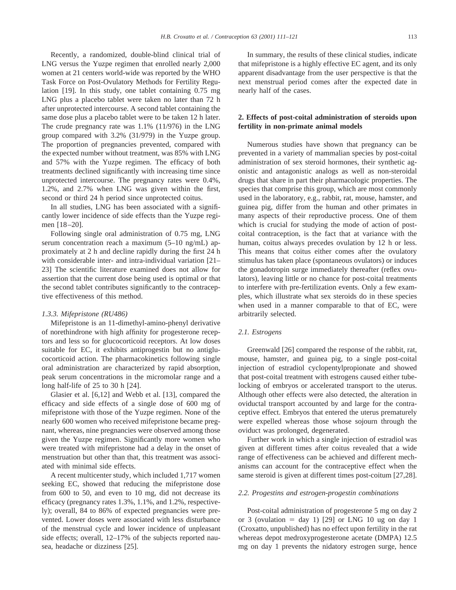Recently, a randomized, double-blind clinical trial of LNG versus the Yuzpe regimen that enrolled nearly 2,000 women at 21 centers world-wide was reported by the WHO Task Force on Post-Ovulatory Methods for Fertility Regulation [19]. In this study, one tablet containing 0.75 mg LNG plus a placebo tablet were taken no later than 72 h after unprotected intercourse. A second tablet containing the same dose plus a placebo tablet were to be taken 12 h later. The crude pregnancy rate was 1.1% (11/976) in the LNG group compared with 3.2% (31/979) in the Yuzpe group. The proportion of pregnancies prevented, compared with the expected number without treatment, was 85% with LNG and 57% with the Yuzpe regimen. The efficacy of both treatments declined significantly with increasing time since unprotected intercourse. The pregnancy rates were 0.4%, 1.2%, and 2.7% when LNG was given within the first, second or third 24 h period since unprotected coitus.

In all studies, LNG has been associated with a significantly lower incidence of side effects than the Yuzpe regimen [18–20].

Following single oral administration of 0.75 mg, LNG serum concentration reach a maximum (5–10 ng/mL) approximately at 2 h and decline rapidly during the first 24 h with considerable inter- and intra-individual variation [21– 23] The scientific literature examined does not allow for assertion that the current dose being used is optimal or that the second tablet contributes significantly to the contraceptive effectiveness of this method.

## *1.3.3. Mifepristone (RU486)*

Mifepristone is an 11-dimethyl-amino-phenyl derivative of norethindrone with high affinity for progesterone receptors and less so for glucocorticoid receptors. At low doses suitable for EC, it exhibits antiprogestin but no antiglucocorticoid action. The pharmacokinetics following single oral administration are characterized by rapid absorption, peak serum concentrations in the micromolar range and a long half-life of 25 to 30 h [24].

Glasier et al. [6,12] and Webb et al. [13], compared the efficacy and side effects of a single dose of 600 mg of mifepristone with those of the Yuzpe regimen. None of the nearly 600 women who received mifepristone became pregnant, whereas, nine pregnancies were observed among those given the Yuzpe regimen. Significantly more women who were treated with mifepristone had a delay in the onset of menstruation but other than that, this treatment was associated with minimal side effects.

A recent multicenter study, which included 1,717 women seeking EC, showed that reducing the mifepristone dose from 600 to 50, and even to 10 mg, did not decrease its efficacy (pregnancy rates 1.3%, 1.1%, and 1.2%, respectively); overall, 84 to 86% of expected pregnancies were prevented. Lower doses were associated with less disturbance of the menstrual cycle and lower incidence of unpleasant side effects; overall, 12–17% of the subjects reported nausea, headache or dizziness [25].

In summary, the results of these clinical studies, indicate that mifepristone is a highly effective EC agent, and its only apparent disadvantage from the user perspective is that the next menstrual period comes after the expected date in nearly half of the cases.

# **2. Effects of post-coital administration of steroids upon fertility in non-primate animal models**

Numerous studies have shown that pregnancy can be prevented in a variety of mammalian species by post-coital administration of sex steroid hormones, their synthetic agonistic and antagonistic analogs as well as non-steroidal drugs that share in part their pharmacologic properties. The species that comprise this group, which are most commonly used in the laboratory, e.g., rabbit, rat, mouse, hamster, and guinea pig, differ from the human and other primates in many aspects of their reproductive process. One of them which is crucial for studying the mode of action of postcoital contraception, is the fact that at variance with the human, coitus always precedes ovulation by 12 h or less. This means that coitus either comes after the ovulatory stimulus has taken place (spontaneous ovulators) or induces the gonadotropin surge immediately thereafter (reflex ovulators), leaving little or no chance for post-coital treatments to interfere with pre-fertilization events. Only a few examples, which illustrate what sex steroids do in these species when used in a manner comparable to that of EC, were arbitrarily selected.

## *2.1. Estrogens*

Greenwald [26] compared the response of the rabbit, rat, mouse, hamster, and guinea pig, to a single post-coital injection of estradiol cyclopentylpropionate and showed that post-coital treatment with estrogens caused either tubelocking of embryos or accelerated transport to the uterus. Although other effects were also detected, the alteration in oviductal transport accounted by and large for the contraceptive effect. Embryos that entered the uterus prematurely were expelled whereas those whose sojourn through the oviduct was prolonged, degenerated.

Further work in which a single injection of estradiol was given at different times after coitus revealed that a wide range of effectiveness can be achieved and different mechanisms can account for the contraceptive effect when the same steroid is given at different times post-coitum [27,28].

#### *2.2. Progestins and estrogen-progestin combinations*

Post-coital administration of progesterone 5 mg on day 2 or 3 (ovulation  $=$  day 1) [29] or LNG 10 ug on day 1 (Croxatto, unpublished) has no effect upon fertility in the rat whereas depot medroxyprogesterone acetate (DMPA) 12.5 mg on day 1 prevents the nidatory estrogen surge, hence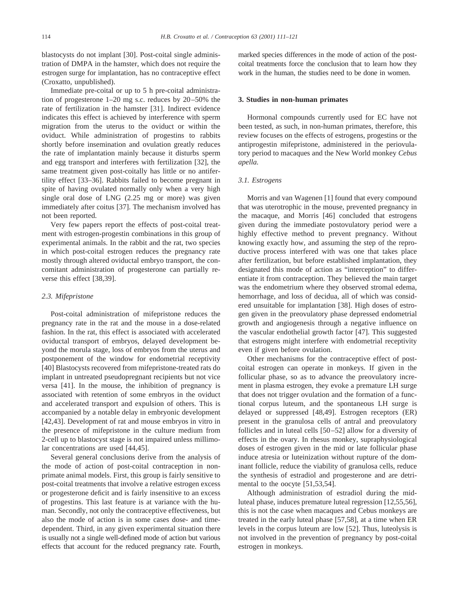blastocysts do not implant [30]. Post-coital single administration of DMPA in the hamster, which does not require the estrogen surge for implantation, has no contraceptive effect (Croxatto, unpublished).

Immediate pre-coital or up to 5 h pre-coital administration of progesterone 1–20 mg s.c. reduces by 20–50% the rate of fertilization in the hamster [31]. Indirect evidence indicates this effect is achieved by interference with sperm migration from the uterus to the oviduct or within the oviduct. While administration of progestins to rabbits shortly before insemination and ovulation greatly reduces the rate of implantation mainly because it disturbs sperm and egg transport and interferes with fertilization [32], the same treatment given post-coitally has little or no antifertility effect [33–36]. Rabbits failed to become pregnant in spite of having ovulated normally only when a very high single oral dose of LNG (2.25 mg or more) was given immediately after coitus [37]. The mechanism involved has not been reported.

Very few papers report the effects of post-coital treatment with estrogen-progestin combinations in this group of experimental animals. In the rabbit and the rat, two species in which post-coital estrogen reduces the pregnancy rate mostly through altered oviductal embryo transport, the concomitant administration of progesterone can partially reverse this effect [38,39].

#### *2.3. Mifepristone*

Post-coital administration of mifepristone reduces the pregnancy rate in the rat and the mouse in a dose-related fashion. In the rat, this effect is associated with accelerated oviductal transport of embryos, delayed development beyond the morula stage, loss of embryos from the uterus and postponement of the window for endometrial receptivity [40] Blastocysts recovered from mifepristone-treated rats do implant in untreated pseudopregnant recipients but not vice versa [41]. In the mouse, the inhibition of pregnancy is associated with retention of some embryos in the oviduct and accelerated transport and expulsion of others. This is accompanied by a notable delay in embryonic development [42,43]. Development of rat and mouse embryos in vitro in the presence of mifepristone in the culture medium from 2-cell up to blastocyst stage is not impaired unless millimolar concentrations are used [44,45].

Several general conclusions derive from the analysis of the mode of action of post-coital contraception in nonprimate animal models. First, this group is fairly sensitive to post-coital treatments that involve a relative estrogen excess or progesterone deficit and is fairly insensitive to an excess of progestins. This last feature is at variance with the human. Secondly, not only the contraceptive effectiveness, but also the mode of action is in some cases dose- and timedependent. Third, in any given experimental situation there is usually not a single well-defined mode of action but various effects that account for the reduced pregnancy rate. Fourth,

marked species differences in the mode of action of the postcoital treatments force the conclusion that to learn how they work in the human, the studies need to be done in women.

#### **3. Studies in non-human primates**

Hormonal compounds currently used for EC have not been tested, as such, in non-human primates, therefore, this review focuses on the effects of estrogens, progestins or the antiprogestin mifepristone, administered in the periovulatory period to macaques and the New World monkey *Cebus apella.*

#### *3.1. Estrogens*

Morris and van Wagenen [1] found that every compound that was uterotrophic in the mouse, prevented pregnancy in the macaque, and Morris [46] concluded that estrogens given during the immediate postovulatory period were a highly effective method to prevent pregnancy. Without knowing exactly how, and assuming the step of the reproductive process interfered with was one that takes place after fertilization, but before established implantation, they designated this mode of action as "interception" to differentiate it from contraception. They believed the main target was the endometrium where they observed stromal edema, hemorrhage, and loss of decidua, all of which was considered unsuitable for implantation [38]. High doses of estrogen given in the preovulatory phase depressed endometrial growth and angiogenesis through a negative influence on the vascular endothelial growth factor [47]. This suggested that estrogens might interfere with endometrial receptivity even if given before ovulation.

Other mechanisms for the contraceptive effect of postcoital estrogen can operate in monkeys. If given in the follicular phase, so as to advance the preovulatory increment in plasma estrogen, they evoke a premature LH surge that does not trigger ovulation and the formation of a functional corpus luteum, and the spontaneous LH surge is delayed or suppressed [48,49]. Estrogen receptors (ER) present in the granulosa cells of antral and preovulatory follicles and in luteal cells [50–52] allow for a diversity of effects in the ovary. In rhesus monkey, supraphysiological doses of estrogen given in the mid or late follicular phase induce atresia or luteinization without rupture of the dominant follicle, reduce the viability of granulosa cells, reduce the synthesis of estradiol and progesterone and are detrimental to the oocyte [51,53,54].

Although administration of estradiol during the midluteal phase, induces premature luteal regression [12,55,56], this is not the case when macaques and Cebus monkeys are treated in the early luteal phase [57,58], at a time when ER levels in the corpus luteum are low [52]. Thus, luteolysis is not involved in the prevention of pregnancy by post-coital estrogen in monkeys.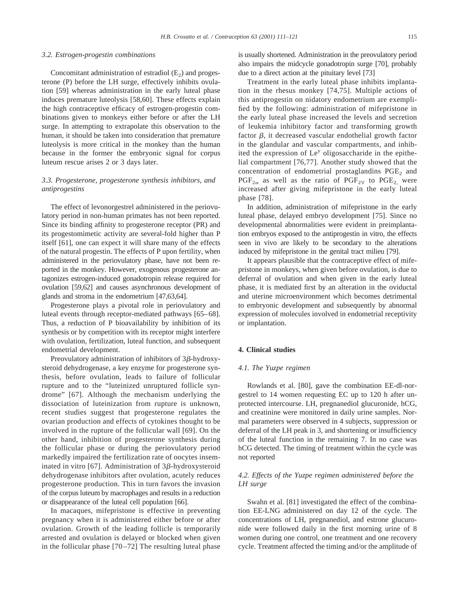#### *3.2. Estrogen-progestin combinations*

Concomitant administration of estradiol  $(E_2)$  and progesterone (P) before the LH surge, effectively inhibits ovulation [59] whereas administration in the early luteal phase induces premature luteolysis [58,60]. These effects explain the high contraceptive efficacy of estrogen-progestin combinations given to monkeys either before or after the LH surge. In attempting to extrapolate this observation to the human, it should be taken into consideration that premature luteolysis is more critical in the monkey than the human because in the former the embryonic signal for corpus luteum rescue arises 2 or 3 days later.

# *3.3. Progesterone, progesterone synthesis inhibitors, and antiprogestins*

The effect of levonorgestrel administered in the periovulatory period in non-human primates has not been reported. Since its binding affinity to progesterone receptor (PR) and its progestomimetic activity are several-fold higher than P itself [61], one can expect it will share many of the effects of the natural progestin. The effects of P upon fertility, when administered in the periovulatory phase, have not been reported in the monkey. However, exogenous progesterone antagonizes estrogen-induced gonadotropin release required for ovulation [59,62] and causes asynchronous development of glands and stroma in the endometrium [47,63,64].

Progesterone plays a pivotal role in periovulatory and luteal events through receptor-mediated pathways [65–68]. Thus, a reduction of P bioavailability by inhibition of its synthesis or by competition with its receptor might interfere with ovulation, fertilization, luteal function, and subsequent endometrial development.

Preovulatory administration of inhibitors of  $3\beta$ -hydroxysteroid dehydrogenase, a key enzyme for progesterone synthesis, before ovulation, leads to failure of follicular rupture and to the "luteinized unruptured follicle syndrome" [67]. Although the mechanism underlying the dissociation of luteinization from rupture is unknown, recent studies suggest that progesterone regulates the ovarian production and effects of cytokines thought to be involved in the rupture of the follicular wall [69]. On the other hand, inhibition of progesterone synthesis during the follicular phase or during the periovulatory period markedly impaired the fertilization rate of oocytes inseminated in vitro [67]. Administration of  $3\beta$ -hydroxysteroid dehydrogenase inhibitors after ovulation, acutely reduces progesterone production. This in turn favors the invasion of the corpus luteum by macrophages and results in a reduction or disappearance of the luteal cell population [66].

In macaques, mifepristone is effective in preventing pregnancy when it is administered either before or after ovulation. Growth of the leading follicle is temporarily arrested and ovulation is delayed or blocked when given in the follicular phase [70–72] The resulting luteal phase is usually shortened. Administration in the preovulatory period also impairs the midcycle gonadotropin surge [70], probably due to a direct action at the pituitary level [73]

Treatment in the early luteal phase inhibits implantation in the rhesus monkey [74,75]. Multiple actions of this antiprogestin on nidatory endometrium are exemplified by the following: administration of mifepristone in the early luteal phase increased the levels and secretion of leukemia inhibitory factor and transforming growth factor  $\beta$ , it decreased vascular endothelial growth factor in the glandular and vascular compartments, and inhibited the expression of  $Le<sup>y</sup>$  oligosaccharide in the epithelial compartment [76,77]. Another study showed that the concentration of endometrial prostaglandins  $PGE<sub>2</sub>$  and  $PGF_{2\alpha}$  as well as the ratio of  $PGF_{2\forall}$  to  $PGE_{2\alpha}$  were increased after giving mifepristone in the early luteal phase [78].

In addition, administration of mifepristone in the early luteal phase, delayed embryo development [75]. Since no developmental abnormalities were evident in preimplantation embryos exposed to the antiprogestin in vitro, the effects seen in vivo are likely to be secondary to the alterations induced by mifepristone in the genital tract milieu [79].

It appears plausible that the contraceptive effect of mifepristone in monkeys, when given before ovulation, is due to deferral of ovulation and when given in the early luteal phase, it is mediated first by an alteration in the oviductal and uterine microenvironment which becomes detrimental to embryonic development and subsequently by abnormal expression of molecules involved in endometrial receptivity or implantation.

## **4. Clinical studies**

## *4.1. The Yuzpe regimen*

Rowlands et al. [80], gave the combination EE-dl-norgestrel to 14 women requesting EC up to 120 h after unprotected intercourse. LH, pregnanediol glucuronide, hCG, and creatinine were monitored in daily urine samples. Normal parameters were observed in 4 subjects, suppression or deferral of the LH peak in 3, and shortening or insufficiency of the luteal function in the remaining 7. In no case was hCG detected. The timing of treatment within the cycle was not reported

# *4.2. Effects of the Yuzpe regimen administered before the LH surge*

Swahn et al. [81] investigated the effect of the combination EE-LNG administered on day 12 of the cycle. The concentrations of LH, pregnanediol, and estrone glucuronide were followed daily in the first morning urine of 8 women during one control, one treatment and one recovery cycle. Treatment affected the timing and/or the amplitude of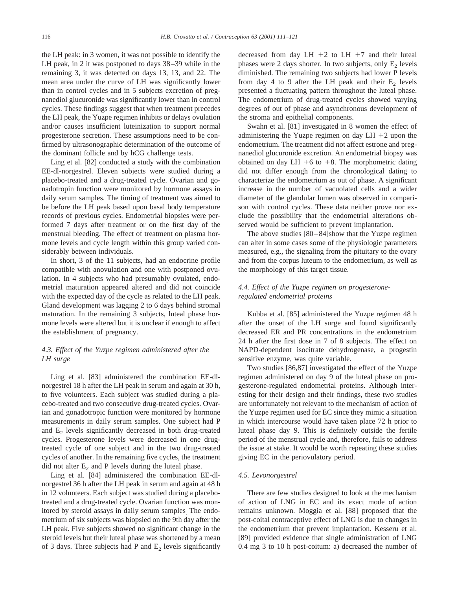the LH peak: in 3 women, it was not possible to identify the LH peak, in 2 it was postponed to days 38–39 while in the remaining 3, it was detected on days 13, 13, and 22. The mean area under the curve of LH was significantly lower than in control cycles and in 5 subjects excretion of pregnanediol glucuronide was significantly lower than in control cycles. These findings suggest that when treatment precedes the LH peak, the Yuzpe regimen inhibits or delays ovulation and/or causes insufficient luteinization to support normal progesterone secretion. These assumptions need to be confirmed by ultrasonographic determination of the outcome of the dominant follicle and by hCG challenge tests.

Ling et al. [82] conducted a study with the combination EE-dl-norgestrel. Eleven subjects were studied during a placebo-treated and a drug-treated cycle. Ovarian and gonadotropin function were monitored by hormone assays in daily serum samples. The timing of treatment was aimed to be before the LH peak based upon basal body temperature records of previous cycles. Endometrial biopsies were performed 7 days after treatment or on the first day of the menstrual bleeding. The effect of treatment on plasma hormone levels and cycle length within this group varied considerably between individuals.

In short, 3 of the 11 subjects, had an endocrine profile compatible with anovulation and one with postponed ovulation. In 4 subjects who had presumably ovulated, endometrial maturation appeared altered and did not coincide with the expected day of the cycle as related to the LH peak. Gland development was lagging 2 to 6 days behind stromal maturation. In the remaining 3 subjects, luteal phase hormone levels were altered but it is unclear if enough to affect the establishment of pregnancy.

# *4.3. Effect of the Yuzpe regimen administered after the LH surge*

Ling et al. [83] administered the combination EE-dlnorgestrel 18 h after the LH peak in serum and again at 30 h, to five volunteers. Each subject was studied during a placebo-treated and two consecutive drug-treated cycles. Ovarian and gonadotropic function were monitored by hormone measurements in daily serum samples. One subject had P and  $E_2$  levels significantly decreased in both drug-treated cycles. Progesterone levels were decreased in one drugtreated cycle of one subject and in the two drug-treated cycles of another. In the remaining five cycles, the treatment did not alter  $E_2$  and P levels during the luteal phase.

Ling et al. [84] administered the combination EE-dlnorgestrel 36 h after the LH peak in serum and again at 48 h in 12 volunteers. Each subject was studied during a placebotreated and a drug-treated cycle. Ovarian function was monitored by steroid assays in daily serum samples. The endometrium of six subjects was biopsied on the 9th day after the LH peak. Five subjects showed no significant change in the steroid levels but their luteal phase was shortened by a mean of 3 days. Three subjects had P and  $E_2$  levels significantly decreased from day LH  $+2$  to LH  $+7$  and their luteal phases were 2 days shorter. In two subjects, only  $E_2$  levels diminished. The remaining two subjects had lower P levels from day 4 to 9 after the LH peak and their  $E_2$  levels presented a fluctuating pattern throughout the luteal phase. The endometrium of drug-treated cycles showed varying degrees of out of phase and asynchronous development of the stroma and epithelial components.

Swahn et al. [81] investigated in 8 women the effect of administering the Yuzpe regimen on day  $LH + 2$  upon the endometrium. The treatment did not affect estrone and pregnanediol glucuronide excretion. An endometrial biopsy was obtained on day LH  $+6$  to  $+8$ . The morphometric dating did not differ enough from the chronological dating to characterize the endometrium as out of phase. A significant increase in the number of vacuolated cells and a wider diameter of the glandular lumen was observed in comparison with control cycles. These data neither prove nor exclude the possibility that the endometrial alterations observed would be sufficient to prevent implantation.

The above studies [80–84]show that the Yuzpe regimen can alter in some cases some of the physiologic parameters measured, e.g., the signaling from the pituitary to the ovary and from the corpus luteum to the endometrium, as well as the morphology of this target tissue.

# *4.4. Effect of the Yuzpe regimen on progesteroneregulated endometrial proteins*

Kubba et al. [85] administered the Yuzpe regimen 48 h after the onset of the LH surge and found significantly decreased ER and PR concentrations in the endometrium 24 h after the first dose in 7 of 8 subjects. The effect on NAPD-dependent isocitrate dehydrogenase, a progestin sensitive enzyme, was quite variable.

Two studies [86,87] investigated the effect of the Yuzpe regimen administered on day 9 of the luteal phase on progesterone-regulated endometrial proteins. Although interesting for their design and their findings, these two studies are unfortunately not relevant to the mechanism of action of the Yuzpe regimen used for EC since they mimic a situation in which intercourse would have taken place 72 h prior to luteal phase day 9. This is definitely outside the fertile period of the menstrual cycle and, therefore, fails to address the issue at stake. It would be worth repeating these studies giving EC in the periovulatory period.

#### *4.5. Levonorgestrel*

There are few studies designed to look at the mechanism of action of LNG in EC and its exact mode of action remains unknown. Moggia et al. [88] proposed that the post-coital contraceptive effect of LNG is due to changes in the endometrium that prevent implantation. Kesseru et al. [89] provided evidence that single administration of LNG 0.4 mg 3 to 10 h post-coitum: a) decreased the number of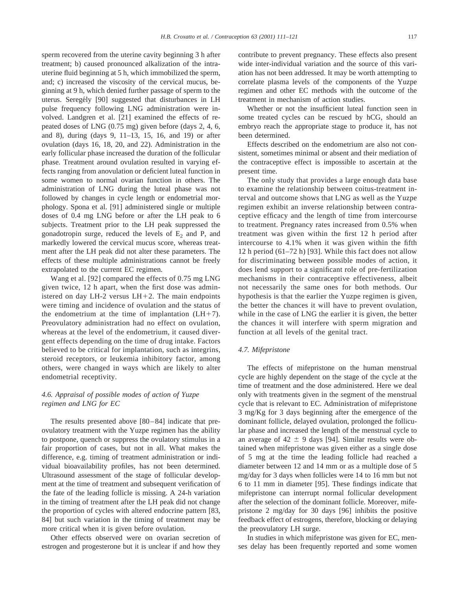sperm recovered from the uterine cavity beginning 3 h after treatment; b) caused pronounced alkalization of the intrauterine fluid beginning at 5 h, which immobilized the sperm, and; c) increased the viscosity of the cervical mucus, beginning at 9 h, which denied further passage of sperm to the uterus. Seregély [90] suggested that disturbances in LH pulse frequency following LNG administration were involved. Landgren et al. [21] examined the effects of repeated doses of LNG (0.75 mg) given before (days 2, 4, 6, and 8), during (days 9, 11–13, 15, 16, and 19) or after ovulation (days 16, 18, 20, and 22). Administration in the early follicular phase increased the duration of the follicular phase. Treatment around ovulation resulted in varying ef-

fects ranging from anovulation or deficient luteal function in some women to normal ovarian function in others. The administration of LNG during the luteal phase was not followed by changes in cycle length or endometrial morphology. Spona et al. [91] administered single or multiple doses of 0.4 mg LNG before or after the LH peak to 6 subjects. Treatment prior to the LH peak suppressed the gonadotropin surge, reduced the levels of  $E_2$  and P, and markedly lowered the cervical mucus score, whereas treatment after the LH peak did not alter these parameters. The effects of these multiple administrations cannot be freely extrapolated to the current EC regimen.

Wang et al. [92] compared the effects of 0.75 mg LNG given twice, 12 h apart, when the first dose was administered on day LH-2 versus  $LH+2$ . The main endpoints were timing and incidence of ovulation and the status of the endometrium at the time of implantation  $(LH+7)$ . Preovulatory administration had no effect on ovulation, whereas at the level of the endometrium, it caused divergent effects depending on the time of drug intake. Factors believed to be critical for implantation, such as integrins, steroid receptors, or leukemia inhibitory factor, among others, were changed in ways which are likely to alter endometrial receptivity.

# *4.6. Appraisal of possible modes of action of Yuzpe regimen and LNG for EC*

The results presented above [80–84] indicate that preovulatory treatment with the Yuzpe regimen has the ability to postpone, quench or suppress the ovulatory stimulus in a fair proportion of cases, but not in all. What makes the difference, e.g. timing of treatment administration or individual bioavailability profiles, has not been determined. Ultrasound assessment of the stage of follicular development at the time of treatment and subsequent verification of the fate of the leading follicle is missing. A 24-h variation in the timing of treatment after the LH peak did not change the proportion of cycles with altered endocrine pattern [83, 84] but such variation in the timing of treatment may be more critical when it is given before ovulation.

Other effects observed were on ovarian secretion of estrogen and progesterone but it is unclear if and how they

contribute to prevent pregnancy. These effects also present wide inter-individual variation and the source of this variation has not been addressed. It may be worth attempting to correlate plasma levels of the components of the Yuzpe regimen and other EC methods with the outcome of the treatment in mechanism of action studies.

Whether or not the insufficient luteal function seen in some treated cycles can be rescued by hCG, should an embryo reach the appropriate stage to produce it, has not been determined.

Effects described on the endometrium are also not consistent, sometimes minimal or absent and their mediation of the contraceptive effect is impossible to ascertain at the present time.

The only study that provides a large enough data base to examine the relationship between coitus-treatment interval and outcome shows that LNG as well as the Yuzpe regimen exhibit an inverse relationship between contraceptive efficacy and the length of time from intercourse to treatment. Pregnancy rates increased from 0.5% when treatment was given within the first 12 h period after intercourse to 4.1% when it was given within the fifth 12 h period (61–72 h) [93]. While this fact does not allow for discriminating between possible modes of action, it does lend support to a significant role of pre-fertilization mechanisms in their contraceptive effectiveness, albeit not necessarily the same ones for both methods. Our hypothesis is that the earlier the Yuzpe regimen is given, the better the chances it will have to prevent ovulation, while in the case of LNG the earlier it is given, the better the chances it will interfere with sperm migration and function at all levels of the genital tract.

## *4.7. Mifepristone*

The effects of mifepristone on the human menstrual cycle are highly dependent on the stage of the cycle at the time of treatment and the dose administered. Here we deal only with treatments given in the segment of the menstrual cycle that is relevant to EC. Administration of mifepristone 3 mg/Kg for 3 days beginning after the emergence of the dominant follicle, delayed ovulation, prolonged the follicular phase and increased the length of the menstrual cycle to an average of 42  $\pm$  9 days [94]. Similar results were obtained when mifepristone was given either as a single dose of 5 mg at the time the leading follicle had reached a diameter between 12 and 14 mm or as a multiple dose of 5 mg/day for 3 days when follicles were 14 to 16 mm but not 6 to 11 mm in diameter [95]. These findings indicate that mifepristone can interrupt normal follicular development after the selection of the dominant follicle. Moreover, mifepristone 2 mg/day for 30 days [96] inhibits the positive feedback effect of estrogens, therefore, blocking or delaying the preovulatory LH surge.

In studies in which mifepristone was given for EC, menses delay has been frequently reported and some women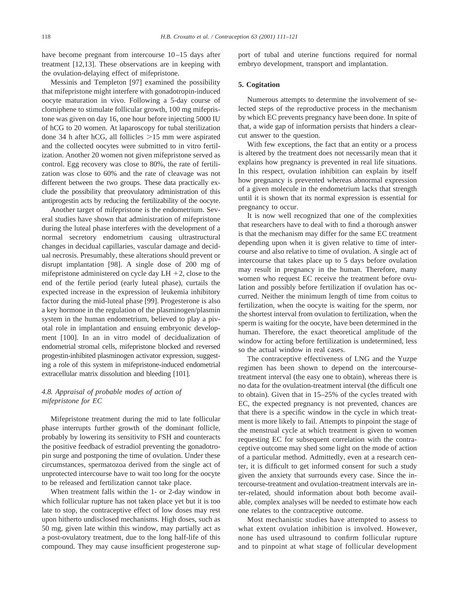have become pregnant from intercourse  $10-15$  days after treatment [12,13]. These observations are in keeping with the ovulation-delaying effect of mifepristone.

Messinis and Templeton [97] examined the possibility that mifepristone might interfere with gonadotropin-induced oocyte maturation in vivo. Following a 5-day course of clomiphene to stimulate follicular growth, 100 mg mifepristone was given on day 16, one hour before injecting 5000 IU of hCG to 20 women. At laparoscopy for tubal sterilization done 34 h after hCG, all follicles  $>15$  mm were aspirated and the collected oocytes were submitted to in vitro fertilization. Another 20 women not given mifepristone served as control. Egg recovery was close to 80%, the rate of fertilization was close to 60% and the rate of cleavage was not different between the two groups. These data practically exclude the possibility that preovulatory administration of this antiprogestin acts by reducing the fertilizability of the oocyte.

Another target of mifepristone is the endometrium. Several studies have shown that administration of mifepristone during the luteal phase interferes with the development of a normal secretory endometrium causing ultrastructural changes in decidual capillaries, vascular damage and decidual necrosis. Presumably, these alterations should prevent or disrupt implantation [98]. A single dose of 200 mg of mifepristone administered on cycle day  $LH + 2$ , close to the end of the fertile period (early luteal phase), curtails the expected increase in the expression of leukemia inhibitory factor during the mid-luteal phase [99]. Progesterone is also a key hormone in the regulation of the plasminogen/plasmin system in the human endometrium, believed to play a pivotal role in implantation and ensuing embryonic development [100]. In an in vitro model of decidualization of endometrial stromal cells, mifepristone blocked and reversed progestin-inhibited plasminogen activator expression, suggesting a role of this system in mifepristone-induced endometrial extracellular matrix dissolution and bleeding [101].

# *4.8. Appraisal of probable modes of action of mifepristone for EC*

Mifepristone treatment during the mid to late follicular phase interrupts further growth of the dominant follicle, probably by lowering its sensitivity to FSH and counteracts the positive feedback of estradiol preventing the gonadotropin surge and postponing the time of ovulation. Under these circumstances, spermatozoa derived from the single act of unprotected intercourse have to wait too long for the oocyte to be released and fertilization cannot take place.

When treatment falls within the 1- or 2-day window in which follicular rupture has not taken place yet but it is too late to stop, the contraceptive effect of low doses may rest upon hitherto undisclosed mechanisms. High doses, such as 50 mg, given late within this window, may partially act as a post-ovulatory treatment, due to the long half-life of this compound. They may cause insufficient progesterone support of tubal and uterine functions required for normal embryo development, transport and implantation.

## **5. Cogitation**

Numerous attempts to determine the involvement of selected steps of the reproductive process in the mechanism by which EC prevents pregnancy have been done. In spite of that, a wide gap of information persists that hinders a clearcut answer to the question.

With few exceptions, the fact that an entity or a process is altered by the treatment does not necessarily mean that it explains how pregnancy is prevented in real life situations. In this respect, ovulation inhibition can explain by itself how pregnancy is prevented whereas abnormal expression of a given molecule in the endometrium lacks that strength until it is shown that its normal expression is essential for pregnancy to occur.

It is now well recognized that one of the complexities that researchers have to deal with to find a thorough answer is that the mechanism may differ for the same EC treatment depending upon when it is given relative to time of intercourse and also relative to time of ovulation. A single act of intercourse that takes place up to 5 days before ovulation may result in pregnancy in the human. Therefore, many women who request EC receive the treatment before ovulation and possibly before fertilization if ovulation has occurred. Neither the minimum length of time from coitus to fertilization, when the oocyte is waiting for the sperm, nor the shortest interval from ovulation to fertilization, when the sperm is waiting for the oocyte, have been determined in the human. Therefore, the exact theoretical amplitude of the window for acting before fertilization is undetermined, less so the actual window in real cases.

The contraceptive effectiveness of LNG and the Yuzpe regimen has been shown to depend on the intercoursetreatment interval (the easy one to obtain), whereas there is no data for the ovulation-treatment interval (the difficult one to obtain). Given that in 15–25% of the cycles treated with EC, the expected pregnancy is not prevented, chances are that there is a specific window in the cycle in which treatment is more likely to fail. Attempts to pinpoint the stage of the menstrual cycle at which treatment is given to women requesting EC for subsequent correlation with the contraceptive outcome may shed some light on the mode of action of a particular method. Admittedly, even at a research center, it is difficult to get informed consent for such a study given the anxiety that surrounds every case. Since the intercourse-treatment and ovulation-treatment intervals are inter-related, should information about both become available, complex analyses will be needed to estimate how each one relates to the contraceptive outcome.

Most mechanistic studies have attempted to assess to what extent ovulation inhibition is involved. However, none has used ultrasound to confirm follicular rupture and to pinpoint at what stage of follicular development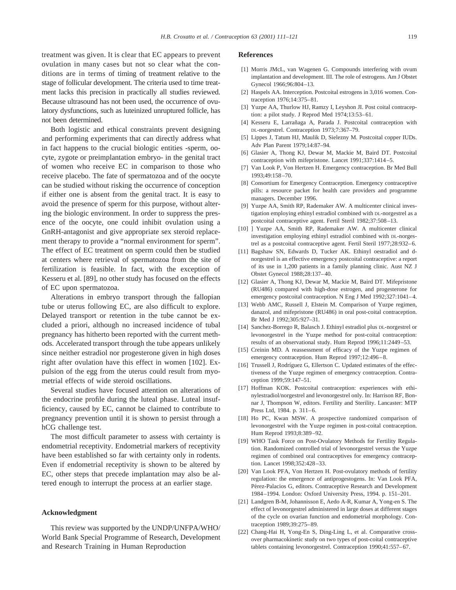treatment was given. It is clear that EC appears to prevent ovulation in many cases but not so clear what the conditions are in terms of timing of treatment relative to the stage of follicular development. The criteria used to time treatment lacks this precision in practically all studies reviewed. Because ultrasound has not been used, the occurrence of ovulatory dysfunctions, such as luteinized unruptured follicle, has not been determined.

Both logistic and ethical constraints prevent designing and performing experiments that can directly address what in fact happens to the crucial biologic entities -sperm, oocyte, zygote or preimplantation embryo- in the genital tract of women who receive EC in comparison to those who receive placebo. The fate of spermatozoa and of the oocyte can be studied without risking the occurrence of conception if either one is absent from the genital tract. It is easy to avoid the presence of sperm for this purpose, without altering the biologic environment. In order to suppress the presence of the oocyte, one could inhibit ovulation using a GnRH-antagonist and give appropriate sex steroid replacement therapy to provide a "normal environment for sperm". The effect of EC treatment on sperm could then be studied at centers where retrieval of spermatozoa from the site of fertilization is feasible. In fact, with the exception of Kesseru et al. [89], no other study has focused on the effects of EC upon spermatozoa.

Alterations in embryo transport through the fallopian tube or uterus following EC, are also difficult to explore. Delayed transport or retention in the tube cannot be excluded a priori, although no increased incidence of tubal pregnancy has hitherto been reported with the current methods. Accelerated transport through the tube appears unlikely since neither estradiol nor progesterone given in high doses right after ovulation have this effect in women [102]. Expulsion of the egg from the uterus could result from myometrial effects of wide steroid oscillations.

Several studies have focused attention on alterations of the endocrine profile during the luteal phase. Luteal insufficiency, caused by EC, cannot be claimed to contribute to pregnancy prevention until it is shown to persist through a hCG challenge test.

The most difficult parameter to assess with certainty is endometrial receptivity. Endometrial markers of receptivity have been established so far with certainty only in rodents. Even if endometrial receptivity is shown to be altered by EC, other steps that precede implantation may also be altered enough to interrupt the process at an earlier stage.

#### **Acknowledgment**

This review was supported by the UNDP/UNFPA/WHO/ World Bank Special Programme of Research, Development and Research Training in Human Reproduction

#### **References**

- [1] Morris JMcL, van Wagenen G. Compounds interfering with ovum implantation and development. III. The role of estrogens. Am J Obstet Gynecol 1966;96:804–13.
- [2] Haspels AA. Interception. Postcoital estrogens in 3,016 women. Contraception 1976;14:375–81.
- [3] Yuzpe AA, Thurlow HJ, Ramzy I, Leyshon JI. Post coital contraception: a pilot study. J Reprod Med 1974;13:53–61.
- [4] Kesseru E, Larrañaga A, Parada J. Postcoital contraception with DL-norgestrel. Contraception 1973;7:367–79.
- [5] Lippes J, Tatum HJ, Maulik D, Sielezny M. Postcoital copper IUDs. Adv Plan Parent 1979;14:87–94.
- [6] Glasier A, Thong KJ, Dewar M, Mackie M, Baird DT. Postcoital contraception with mifepristone. Lancet 1991;337:1414–5.
- [7] Van Look P, Von Hertzen H. Emergency contraception. Br Med Bull 1993;49:158–70.
- [8] Consortium for Emergency Contraception. Emergency contraceptive pills: a resource packet for health care providers and programme managers. December 1996.
- [9] Yuzpe AA, Smith RP, Rademaker AW. A multicenter clinical investigation employing ethinyl estradiol combined with DL-norgestrel as a postcoital contraceptive agent. Fertil Steril 1982;37:508–13.
- [10] ] Yuzpe AA, Smith RP, Rademaker AW. A multicenter clinical investigation employing ethinyl estradiol combined with DL-norgestrel as a postcoital contraceptive agent. Fertil Steril 1977;28:932–6.
- [11] Bagshaw SN, Edwards D, Tucker AK. Ethinyl oestradiol and dnorgestrel is an effective emergency postcoital contraceptive: a report of its use in 1,200 patients in a family planning clinic. Aust NZ J Obstet Gynecol 1988;28:137–40.
- [12] Glasier A, Thong KJ, Dewar M, Mackie M, Baird DT. Mifepristone (RU486) compared with high-dose estrogen, and progesterone for emergency postcoital contraception. N Eng J Med 1992;327:1041–4.
- [13] Webb AMC, Russell J, Elstein M. Comparison of Yuzpe regimen, danazol, and mifepristone (RU486) in oral post-coital contraception. Br Med J 1992;305:927–31.
- [14] Sanchez-Borrego R, Balasch J. Ethinyl estradiol plus DL-norgestrel or levonorgestrel in the Yuzpe method for post-coital contraception: results of an observational study. Hum Reprod 1996;11:2449–53.
- [15] Creinin MD. A reassessment of efficacy of the Yuzpe regimen of emergency contraception. Hum Reprod 1997;12:496–8.
- [16] Trussell J, Rodríguez G, Ellertson C. Updated estimates of the effectiveness of the Yuzpe regimen of emergency contraception. Contraception 1999;59:147–51.
- [17] Hoffman KOK. Postcoital contraception: experiences with ethinylestradiol/norgestrel and levonorgestrel only. In: Harrison RF, Bonnar J, Thompson W, editors. Fertility and Sterility. Lancaster: MTP Press Ltd, 1984. p. 311–6.
- [18] Ho PC, Kwan MSW. A prospective randomized comparison of levonorgestrel with the Yuzpe regimen in post-coital contraception. Hum Reprod 1993;8:389–92.
- [19] WHO Task Force on Post-Ovulatory Methods for Fertility Regulation. Randomized controlled trial of levonorgestrel versus the Yuzpe regimen of combined oral contraceptives for emergency contraception. Lancet 1998;352:428–33.
- [20] Van Look PFA, Von Hertzen H. Post-ovulatory methods of fertility regulation: the emergence of antiprogestogens. In: Van Look PFA, Pérez-Palacios G, editors. Contraceptive Research and Development 1984–1994. London: Oxford University Press, 1994. p. 151–201.
- [21] Landgren B-M, Johannisson E, Aedo A-R, Kumar A, Yong-en S. The effect of levonorgestrel administered in large doses at different stages of the cycle on ovarian function and endometrial morphology. Contraception 1989;39:275–89.
- [22] Chang-Hai H, Yong-En S, Ding-Ling L, et al. Comparative crossover pharmacokinetic study on two types of post-coital contraceptive tablets containing levonorgestrel. Contraception 1990;41:557–67.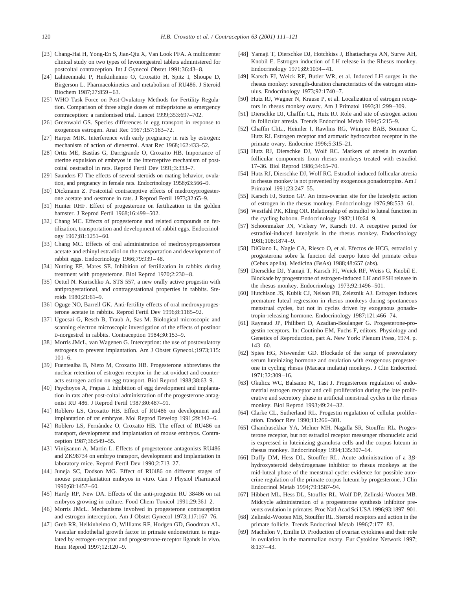- [23] Chang-Hai H, Yong-En S, Jian-Qiu X, Van Look PFA. A multicenter clinical study on two types of levonorgestrel tablets administered for postcoital contraception. Int J Gynecol Obstet 1991;36:43–8.
- [24] Lahteenmaki P, Heikinheimo O, Croxatto H, Spitz I, Shoupe D, Birgerson L. Pharmacokinetics and metabolism of RU486. J Steroid Biochem 1987;27:859–63.
- [25] WHO Task Force on Post-Ovulatory Methods for Fertility Regulation. Comparison of three single doses of mifepristone as emergency contraception: a randomised trial. Lancet 1999;353:697–702.
- [26] Greenwald GS. Species differences in egg transport in response to exogenous estrogen. Anat Rec 1967;157:163–72.
- [27] Harper MJK. Interference with early pregnancy in rats by estrogen: mechanism of action of dienestrol. Anat Rec 1968;162:433–52.
- [28] Ortiz ME, Bastías G, Darrigrande O, Croxatto HB. Importance of uterine expulsion of embryos in the interceptive mechanism of postcoital oestradiol in rats. Reprod Fertil Dev 1991;3:333–7.
- [29] Saunders FJ The effects of several steroids on mating behavior, ovulation, and pregnancy in female rats. Endocrinology 1958;63:566–9.
- [30] Dickmann Z. Postcoital contraceptive effects of medroxyprogesterone acetate and oestrone in rats. J Reprod Fertil 1973;32:65–9.
- [31] Hunter RHF. Effect of progesterone on fertilization in the golden hamster. J Reprod Fertil 1968;16:499–502.
- [32] Chang MC. Effects of progesterone and related compounds on fertilization, transportation and development of rabbit eggs. Endocrinology 1967;81:1251–60.
- [33] Chang MC. Effects of oral administration of medroxyprogesterone acetate and ethinyl estradiol on the transportation and development of rabbit eggs. Endocrinology 1966;79:939–48.
- [34] Nutting EF, Mares SE. Inhibition of fertilization in rabbits during treatment with progesterone. Biol Reprod 1970;2:230–8.
- [35] Oettel N. Kurischko A. STS 557, a new orally active progestin with antiprogestational, and contragestational properties in rabbits. Steroids 1980;21:61–9.
- [36] Oguge NO, Barrell GK. Anti-fertility effects of oral medroxyprogesterone acetate in rabbits. Reprod Fertil Dev 1996;8:1185–92.
- [37] Ugocsai G, Resch B, Traub A, Sas M. Biological microscopic and scanning electron microscopic investigation of the effects of postinor D-norgestrel in rabbits. Contraception 1984;30:153–9.
- [38] Morris JMcL, van Wagenen G. Interception: the use of postovulatory estrogens to prevent implantation. Am J Obstet Gynecol.;1973;115: 101–6.
- [39] Fuentealba B, Nieto M, Croxatto HB. Progesterone abbreviates the nuclear retention of estrogen receptor in the rat oviduct and counteracts estrogen action on egg transport. Biol Reprod 1988;38:63–9.
- [40] Psychoyos A, Prapas I. Inhibition of egg development and implantation in rats after post-coital administration of the progesterone antagonist RU 486. J Reprod Fertil 1987;80:487–91.
- [41] Roblero LS, Croxatto HB. Effect of RU486 on development and implantation of rat embryos. Mol Reprod Develop 1991;29:342–6.
- [42] Roblero LS, Fernández O, Croxatto HB. The effect of RU486 on transport, development and implantation of mouse embryos. Contraception 1987;36:549–55.
- [43] Vinijsanun A, Martin L. Effects of progesterone antagonists RU486 and ZK98734 on embryo transport, development and implantation in laboratory mice. Reprod Fertil Dev 1990;2:713–27.
- [44] Juneja SC, Dodson MG. Effect of RU486 on different stages of mouse preimplantation embryos in vitro. Can J Physiol Pharmacol 1990;68:1457–60.
- [45] Hardy RP, New DA. Effects of the anti-progestin RU 38486 on rat embryos growing in culture. Food Chem Toxicol 1991;29:361–2.
- [46] Morris JMcL. Mechanisms involved in progesterone contraception and estrogen interception. Am J Obstet Gynecol 1973;117:167–76.
- [47] Greb RR, Heikinheimo O, Williams RF, Hodgen GD, Goodman AL. Vascular endothelial growth factor in primate endometrium is regulated by estrogen-receptor and progesterone-receptor ligands in vivo. Hum Reprod 1997;12:120–9.
- [48] Yamaji T, Dierschke DJ, Hotchkiss J, Bhattacharya AN, Surve AH, Knobil E. Estrogen induction of LH release in the Rhesus monkey. Endocrinology 1971;89:1034–41.
- [49] Karsch FJ, Weick RF, Butler WR, et al. Induced LH surges in the rhesus monkey: strength-duration characteristics of the estrogen stimulus. Endocrinology 1973;92:1740–7.
- [50] Hutz RJ, Wagner N, Krause P, et al. Localization of estrogen receptors in rhesus monkey ovary. Am J Primatol 1993;31:299–309.
- [51] Dierschke DJ, Chaffin CL, Hutz RJ. Role and site of estrogen action in follicular atresia. Trends Endocrinol Metab 1994;5:215–9.
- [52] Chaffin ChL., Heimler I, Rawlins RG, Wimpee BAB, Sommer C, Hutz RJ. Estrogen receptor and aromatic hydrocarbon receptor in the primate ovary. Endocrine 1996;5:315–21.
- [53] Hutz RJ, Dierschke DJ, Wolf RC. Markers of atresia in ovarian follicular components from rhesus monkeys treated with estradiol 17–36. Biol Reprod 1986;34:65–70.
- [54] Hutz RJ, Dierschke DJ, Wolf RC. Estradiol-induced follicular atresia in rhesus monkey is not prevented by exogenous gonadotropins. Am J Primatol 1991;23:247–55.
- [55] Karsch FJ, Sutton GP. An intra-ovarian site for the luteolytic action of estrogen in the rhesus monkey. Endocrinology 1976;98:553–61.
- [56] Westfahl PK, Kling OR. Relationship of estradiol to luteal function in the cycling baboon. Endocrinology 1982;110:64–9.
- [57] Schoonmaker JN, Vickery W, Karsch FJ. A receptive period for estradiol-induced luteolysis in the rhesus monkey. Endocrinology 1981;108:1874–9.
- [58] DiGiano L, Nagle CA, Riesco O, et al. Efectos de HCG, estradiol y progesterona sobre la funcion del cuerpo luteo del primate cebus (Cebus apella). Medicina (BsAs) 1988;48:657 (abs).
- [59] Dierschke DJ, Yamaji T, Karsch FJ, Weick RF, Weiss G, Knobil E. Blockade by progesterone of estrogen-induced LH and FSH release in the rhesus monkey. Endocrinology 1973;92:1496–501.
- [60] Hutchison JS, Kubik CJ, Nelson PB, Zeleznik AJ. Estrogen induces premature luteal regression in rhesus monkeys during spontaneous menstrual cycles, but not in cycles driven by exogenous gonadotropin-releasing hormone. Endocrinology 1987;121:466–74.
- [61] Raynaud JP, Philibert D, Azadian-Boulanger G. Progesterone-progestin receptors. In: Coutinho EM, Fuchs F, editors. Physiology and Genetics of Reproduction, part A. New York: Plenum Press, 1974. p. 143–60.
- [62] Spies HG, Niswender GD. Blockade of the surge of preovulatory serum luteinizing hormone and ovulation with exogenous progesterone in cycling rhesus (Macaca mulatta) monkeys. J Clin Endocrinol 1971;32:309–16.
- [63] Okulicz WC, Balsamo M, Tast J. Progesterone regulation of endometrial estrogen receptor and cell proliferation during the late proliferative and secretory phase in artificial menstrual cycles in the rhesus monkey. Biol Reprod 1993;49:24–32.
- [64] Clarke CL, Sutherland RL. Progestin regulation of cellular proliferation. Endocr Rev 1990;11:266–301.
- [65] Chandrasekhar YA, Melner MH, Nagalla SR, Stouffer RL. Progesterone receptor, but not estradiol receptor messenger ribonucleic acid is expressed in luteinizing granulosa cells and the corpus luteum in rhesus monkey. Endocrinology 1994;135:307–14.
- [66] Duffy DM, Hess DL, Stouffer RL. Acute administration of a  $3\beta$ hydroxysteroid dehydrogenase inhibitor to rhesus monkeys at the mid-luteal phase of the menstrual cycle: evidence for possible autocrine regulation of the primate corpus luteum by progesterone. J Clin Endocrinol Metab 1994;79:1587–94.
- [67] Hibbert ML, Hess DL, Stouffer RL, Wolf DP, Zelinski-Wooten MB. Midcycle administration of a progesterone synthesis inhibitor prevents ovulation in primates. Proc Natl Acad Sci USA 1996;93:1897–901.
- [68] Zelinski-Wooten MB, Stouffer RL. Steroid receptors and action in the primate follicle. Trends Endocrinol Metab 1996;7:177–83.
- [69] Machelon V, Emilie D. Production of ovarian cytokines and their role in ovulation in the mammalian ovary. Eur Cytokine Network 1997; 8:137–43.